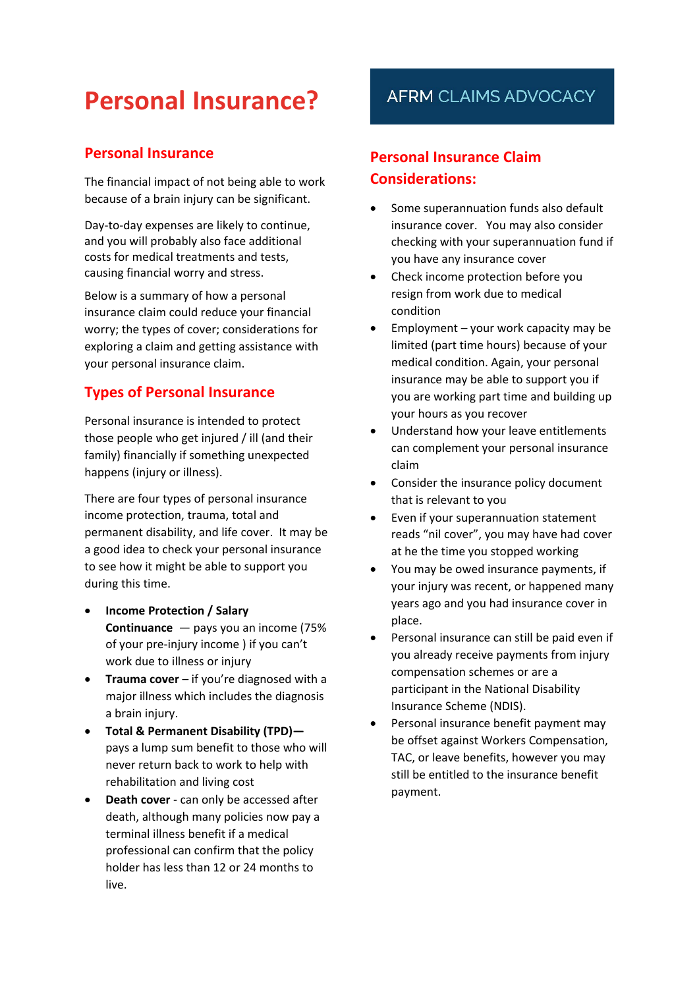# **Personal Insurance?**

## **Personal Insurance**

The financial impact of not being able to work because of a brain injury can be significant.

Day-to-day expenses are likely to continue, and you will probably also face additional costs for medical treatments and tests, causing financial worry and stress.

Below is a summary of how a personal insurance claim could reduce your financial worry; the types of cover; considerations for exploring a claim and getting assistance with your personal insurance claim.

## **Types of Personal Insurance**

Personal insurance is intended to protect those people who get injured / ill (and their family) financially if something unexpected happens (injury or illness).

There are four types of personal insurance income protection, trauma, total and permanent disability, and life cover. It may be a good idea to check your personal insurance to see how it might be able to support you during this time.

- **Income [Protection](https://moneysmart.gov.au/how-life-insurance-works/income-protection-insurance) / Salary [Continuance](https://moneysmart.gov.au/how-life-insurance-works/income-protection-insurance)** — pays you an income (75% of your pre-injury income ) if you can't work due to illness or injury
- **[Trauma](https://moneysmart.gov.au/how-life-insurance-works/trauma-insurance) cover** if you're diagnosed with a major illness which includes the diagnosis a brain injury.
- **Total & [Permanent](https://moneysmart.gov.au/how-life-insurance-works/total-and-permanent-disability-tpd-insurance) Disability (TP[D\)](https://moneysmart.gov.au/how-life-insurance-works/total-and-permanent-disability-tpd-insurance)** pays a lump sum benefit to those who will never return back to work to help with rehabilitation and living cost
- **Death cover** can only be accessed after death, although many policies now pay a terminal illness benefit if a medical professional can confirm that the policy holder has less than 12 or 24 months to live.

## **AFRM CLAIMS ADVOCACY**

## **Personal Insurance Claim Considerations:**

- Some superannuation funds also default insurance cover. You may also consider checking with your superannuation fund if you have any insurance cover
- Check income protection before you resign from work due to medical condition
- Employment your work capacity may be limited (part time hours) because of your medical condition. Again, your personal insurance may be able to support you if you are working part time and building up your hours as you recover
- Understand how your leave entitlements can complement your personal insurance claim
- Consider the insurance policy document that is relevant to you
- Even if your superannuation statement reads "nil cover", you may have had cover at he the time you stopped working
- You may be owed insurance payments, if your injury was recent, or happened many years ago and you had insurance cover in place.
- Personal insurance can still be paid even if you already receive payments from injury compensation schemes or are a participant in the National Disability Insurance Scheme (NDIS).
- Personal insurance benefit payment may be offset against Workers Compensation, TAC, or leave benefits, however you may still be entitled to the insurance benefit payment.